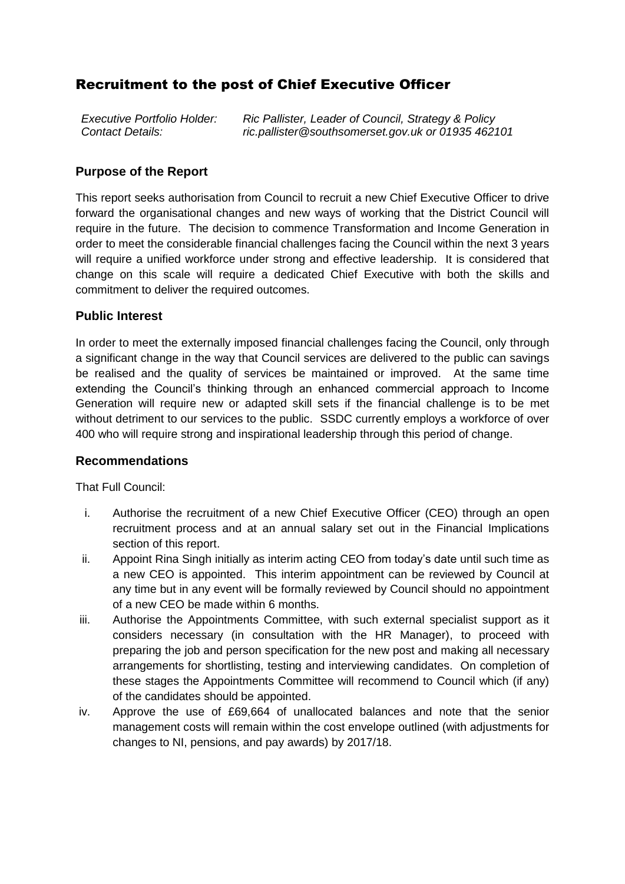# Recruitment to the post of Chief Executive Officer

| <b>Executive Portfolio Holder:</b> | Ric Pallister, Leader of Council, Strategy & Policy |
|------------------------------------|-----------------------------------------------------|
| Contact Details:                   | ric.pallister@southsomerset.gov.uk or 01935 462101  |

### **Purpose of the Report**

This report seeks authorisation from Council to recruit a new Chief Executive Officer to drive forward the organisational changes and new ways of working that the District Council will require in the future. The decision to commence Transformation and Income Generation in order to meet the considerable financial challenges facing the Council within the next 3 years will require a unified workforce under strong and effective leadership. It is considered that change on this scale will require a dedicated Chief Executive with both the skills and commitment to deliver the required outcomes.

#### **Public Interest**

In order to meet the externally imposed financial challenges facing the Council, only through a significant change in the way that Council services are delivered to the public can savings be realised and the quality of services be maintained or improved. At the same time extending the Council's thinking through an enhanced commercial approach to Income Generation will require new or adapted skill sets if the financial challenge is to be met without detriment to our services to the public. SSDC currently employs a workforce of over 400 who will require strong and inspirational leadership through this period of change.

#### **Recommendations**

That Full Council:

- i. Authorise the recruitment of a new Chief Executive Officer (CEO) through an open recruitment process and at an annual salary set out in the Financial Implications section of this report.
- ii. Appoint Rina Singh initially as interim acting CEO from today's date until such time as a new CEO is appointed. This interim appointment can be reviewed by Council at any time but in any event will be formally reviewed by Council should no appointment of a new CEO be made within 6 months.
- iii. Authorise the Appointments Committee, with such external specialist support as it considers necessary (in consultation with the HR Manager), to proceed with preparing the job and person specification for the new post and making all necessary arrangements for shortlisting, testing and interviewing candidates. On completion of these stages the Appointments Committee will recommend to Council which (if any) of the candidates should be appointed.
- iv. Approve the use of £69,664 of unallocated balances and note that the senior management costs will remain within the cost envelope outlined (with adjustments for changes to NI, pensions, and pay awards) by 2017/18.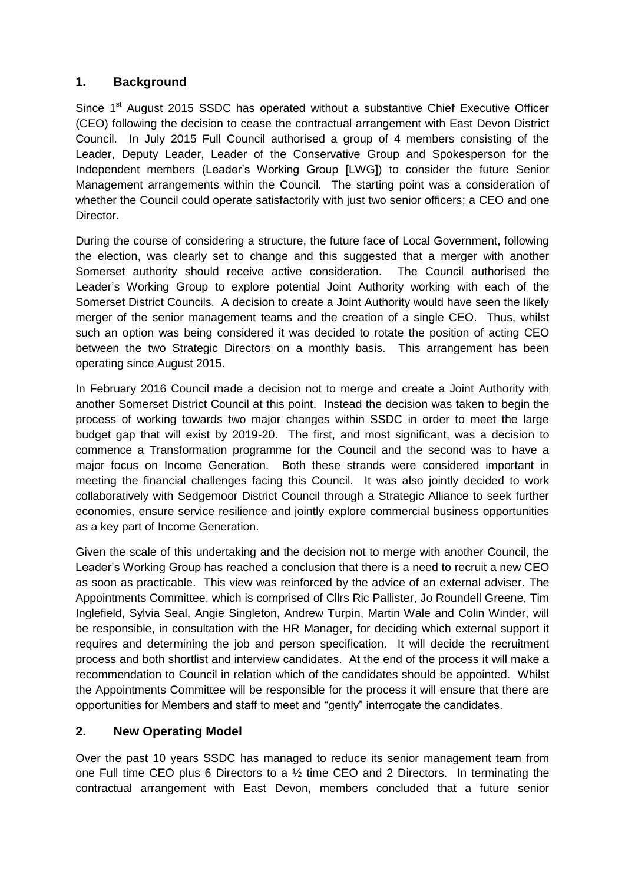### **1. Background**

Since 1<sup>st</sup> August 2015 SSDC has operated without a substantive Chief Executive Officer (CEO) following the decision to cease the contractual arrangement with East Devon District Council. In July 2015 Full Council authorised a group of 4 members consisting of the Leader, Deputy Leader, Leader of the Conservative Group and Spokesperson for the Independent members (Leader's Working Group [LWG]) to consider the future Senior Management arrangements within the Council. The starting point was a consideration of whether the Council could operate satisfactorily with just two senior officers; a CEO and one Director.

During the course of considering a structure, the future face of Local Government, following the election, was clearly set to change and this suggested that a merger with another Somerset authority should receive active consideration. The Council authorised the Leader's Working Group to explore potential Joint Authority working with each of the Somerset District Councils. A decision to create a Joint Authority would have seen the likely merger of the senior management teams and the creation of a single CEO. Thus, whilst such an option was being considered it was decided to rotate the position of acting CEO between the two Strategic Directors on a monthly basis. This arrangement has been operating since August 2015.

In February 2016 Council made a decision not to merge and create a Joint Authority with another Somerset District Council at this point. Instead the decision was taken to begin the process of working towards two major changes within SSDC in order to meet the large budget gap that will exist by 2019-20. The first, and most significant, was a decision to commence a Transformation programme for the Council and the second was to have a major focus on Income Generation. Both these strands were considered important in meeting the financial challenges facing this Council. It was also jointly decided to work collaboratively with Sedgemoor District Council through a Strategic Alliance to seek further economies, ensure service resilience and jointly explore commercial business opportunities as a key part of Income Generation.

Given the scale of this undertaking and the decision not to merge with another Council, the Leader's Working Group has reached a conclusion that there is a need to recruit a new CEO as soon as practicable. This view was reinforced by the advice of an external adviser. The Appointments Committee, which is comprised of Cllrs Ric Pallister, Jo Roundell Greene, Tim Inglefield, Sylvia Seal, Angie Singleton, Andrew Turpin, Martin Wale and Colin Winder, will be responsible, in consultation with the HR Manager, for deciding which external support it requires and determining the job and person specification. It will decide the recruitment process and both shortlist and interview candidates. At the end of the process it will make a recommendation to Council in relation which of the candidates should be appointed. Whilst the Appointments Committee will be responsible for the process it will ensure that there are opportunities for Members and staff to meet and "gently" interrogate the candidates.

### **2. New Operating Model**

Over the past 10 years SSDC has managed to reduce its senior management team from one Full time CEO plus 6 Directors to a ½ time CEO and 2 Directors. In terminating the contractual arrangement with East Devon, members concluded that a future senior